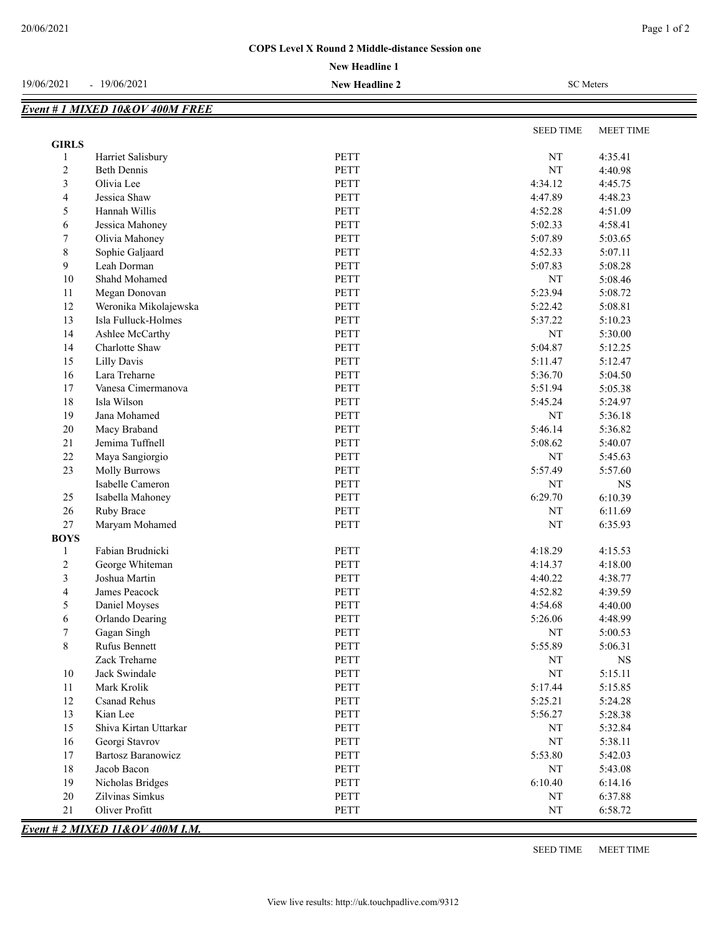## **COPS Level X Round 2 Middle-distance Session one**

19/06/2021 - 19/06/2021 **New Headline 2** SC Meters

|                          | Event # 1 MIXED 10&OV 400M FREE |             |                  |             |
|--------------------------|---------------------------------|-------------|------------------|-------------|
|                          |                                 |             | <b>SEED TIME</b> |             |
| <b>GIRLS</b>             |                                 |             |                  | MEET TIME   |
| 1                        | Harriet Salisbury               | PETT        | $\rm{NT}$        | 4:35.41     |
| $\sqrt{2}$               | <b>Beth Dennis</b>              | <b>PETT</b> | NT               | 4:40.98     |
| 3                        | Olivia Lee                      | PETT        | 4:34.12          | 4:45.75     |
| $\overline{\mathcal{A}}$ | Jessica Shaw                    | <b>PETT</b> | 4:47.89          | 4:48.23     |
| 5                        | Hannah Willis                   | PETT        | 4:52.28          | 4:51.09     |
| 6                        | Jessica Mahoney                 | PETT        | 5:02.33          | 4:58.41     |
| 7                        | Olivia Mahoney                  | <b>PETT</b> | 5:07.89          | 5:03.65     |
| $\,$ $\,$                | Sophie Galjaard                 | PETT        | 4:52.33          | 5:07.11     |
| 9                        | Leah Dorman                     | PETT        | 5:07.83          | 5:08.28     |
| $10\,$                   | Shahd Mohamed                   | <b>PETT</b> | $\rm{NT}$        | 5:08.46     |
| 11                       | Megan Donovan                   | PETT        | 5:23.94          | 5:08.72     |
| 12                       | Weronika Mikolajewska           | PETT        | 5:22.42          | 5:08.81     |
| 13                       | Isla Fulluck-Holmes             | PETT        | 5:37.22          | 5:10.23     |
| 14                       | Ashlee McCarthy                 | PETT        | $\rm{NT}$        | 5:30.00     |
| 14                       | Charlotte Shaw                  | <b>PETT</b> | 5:04.87          | 5:12.25     |
| 15                       | Lilly Davis                     | PETT        | 5:11.47          | 5:12.47     |
| 16                       | Lara Treharne                   | PETT        | 5:36.70          | 5:04.50     |
| 17                       | Vanesa Cimermanova              | <b>PETT</b> | 5:51.94          | 5:05.38     |
| 18                       | Isla Wilson                     | <b>PETT</b> | 5:45.24          | 5:24.97     |
| 19                       | Jana Mohamed                    | <b>PETT</b> | NT               | 5:36.18     |
| $20\,$                   | Macy Braband                    | PETT        | 5:46.14          | 5:36.82     |
| $21\,$                   | Jemima Tuffnell                 | PETT        | 5:08.62          | 5:40.07     |
| 22                       | Maya Sangiorgio                 | PETT        | NT               | 5:45.63     |
| 23                       | <b>Molly Burrows</b>            | PETT        | 5:57.49          | 5:57.60     |
|                          | Isabelle Cameron                | PETT        | NT               | $_{\rm NS}$ |
| 25                       | Isabella Mahoney                | <b>PETT</b> | 6:29.70          | 6:10.39     |
| 26                       | Ruby Brace                      | <b>PETT</b> | NT               | 6:11.69     |
| 27                       | Maryam Mohamed                  | PETT        | $\rm{NT}$        | 6:35.93     |
| <b>BOYS</b>              |                                 |             |                  |             |
| 1                        | Fabian Brudnicki                | PETT        | 4:18.29          | 4:15.53     |
| $\overline{c}$           | George Whiteman                 | <b>PETT</b> | 4:14.37          | 4:18.00     |
| $\mathfrak{Z}$           | Joshua Martin                   | PETT        | 4:40.22          | 4:38.77     |
| $\overline{4}$           | James Peacock                   | PETT        | 4:52.82          | 4:39.59     |
| $\mathfrak{S}$           | Daniel Moyses                   | PETT        | 4:54.68          | 4:40.00     |
| 6                        | Orlando Dearing                 | PETT        | 5:26.06          | 4:48.99     |
| $\tau$                   | Gagan Singh                     | PETT        | $\rm{NT}$        | 5:00.53     |
| 8                        | Rufus Bennett                   | PETT        | 5:55.89          | 5:06.31     |
|                          | Zack Treharne                   | PETT        | NT               | $_{\rm NS}$ |
| 10                       | Jack Swindale                   | PETT        | $\rm{NT}$        | 5:15.11     |
| 11                       | Mark Krolik                     | PETT        | 5:17.44          | 5:15.85     |
| 12                       | <b>Csanad Rehus</b>             | <b>PETT</b> | 5:25.21          | 5:24.28     |
| 13                       | Kian Lee                        | PETT        | 5:56.27          | 5:28.38     |
| 15                       | Shiva Kirtan Uttarkar           | PETT        | NT               | 5:32.84     |
| 16                       | Georgi Stavrov                  | PETT        | $\rm{NT}$        | 5:38.11     |
| 17                       | <b>Bartosz Baranowicz</b>       | PETT        | 5:53.80          | 5:42.03     |
| $18\,$                   | Jacob Bacon                     | PETT        | NT               | 5:43.08     |
| 19                       | Nicholas Bridges                | PETT        | 6:10.40          | 6:14.16     |
| 20                       | Zilvinas Simkus                 | <b>PETT</b> | $\rm{NT}$        | 6:37.88     |
| $21\,$                   | Oliver Profitt                  | PETT        | $\rm{NT}$        | 6:58.72     |
|                          |                                 |             |                  |             |

*Event # 2 MIXED 11&OV 400M I.M.*

SEED TIME MEET TIME